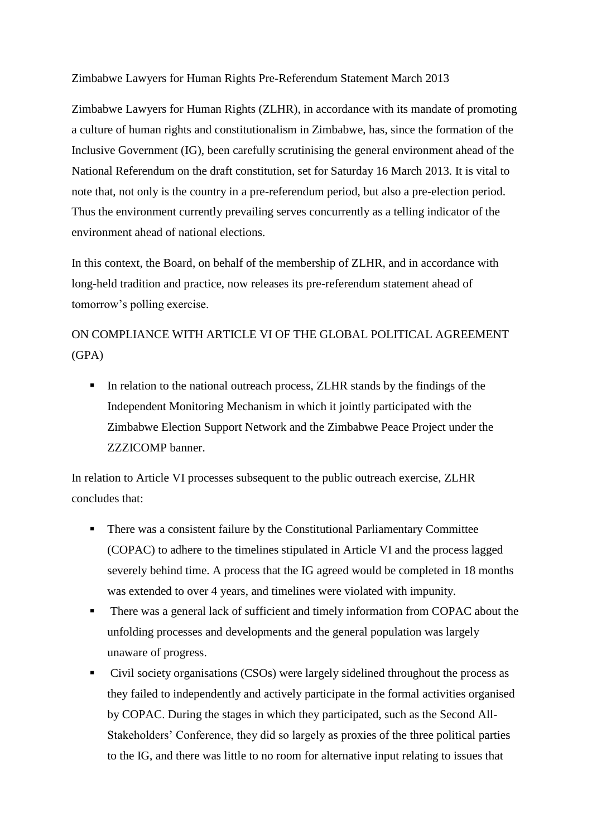Zimbabwe Lawyers for Human Rights Pre-Referendum Statement March 2013

Zimbabwe Lawyers for Human Rights (ZLHR), in accordance with its mandate of promoting a culture of human rights and constitutionalism in Zimbabwe, has, since the formation of the Inclusive Government (IG), been carefully scrutinising the general environment ahead of the National Referendum on the draft constitution, set for Saturday 16 March 2013. It is vital to note that, not only is the country in a pre-referendum period, but also a pre-election period. Thus the environment currently prevailing serves concurrently as a telling indicator of the environment ahead of national elections.

In this context, the Board, on behalf of the membership of ZLHR, and in accordance with long-held tradition and practice, now releases its pre-referendum statement ahead of tomorrow's polling exercise.

ON COMPLIANCE WITH ARTICLE VI OF THE GLOBAL POLITICAL AGREEMENT (GPA)

In relation to the national outreach process, ZLHR stands by the findings of the Independent Monitoring Mechanism in which it jointly participated with the Zimbabwe Election Support Network and the Zimbabwe Peace Project under the ZZZICOMP banner.

In relation to Article VI processes subsequent to the public outreach exercise, ZLHR concludes that:

- There was a consistent failure by the Constitutional Parliamentary Committee (COPAC) to adhere to the timelines stipulated in Article VI and the process lagged severely behind time. A process that the IG agreed would be completed in 18 months was extended to over 4 years, and timelines were violated with impunity.
- There was a general lack of sufficient and timely information from COPAC about the unfolding processes and developments and the general population was largely unaware of progress.
- Civil society organisations (CSOs) were largely sidelined throughout the process as they failed to independently and actively participate in the formal activities organised by COPAC. During the stages in which they participated, such as the Second All-Stakeholders' Conference, they did so largely as proxies of the three political parties to the IG, and there was little to no room for alternative input relating to issues that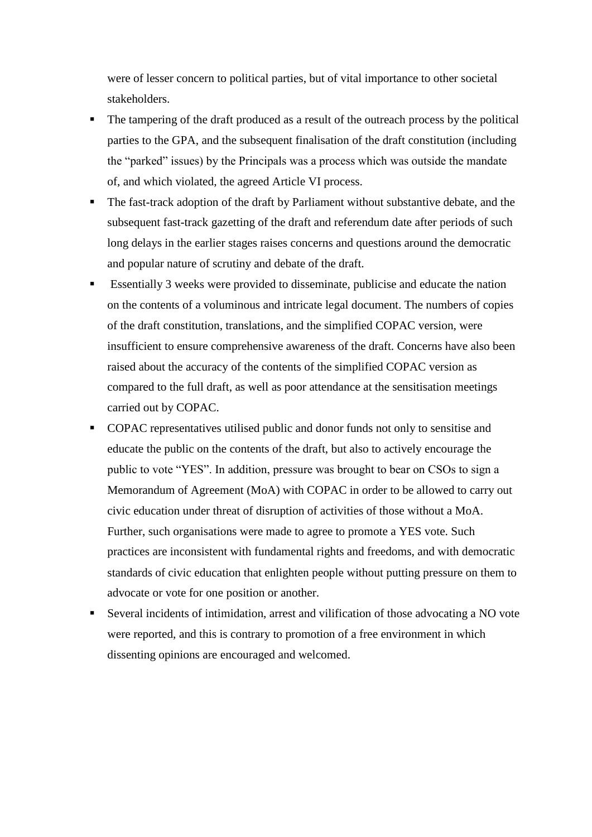were of lesser concern to political parties, but of vital importance to other societal stakeholders.

- The tampering of the draft produced as a result of the outreach process by the political parties to the GPA, and the subsequent finalisation of the draft constitution (including the "parked" issues) by the Principals was a process which was outside the mandate of, and which violated, the agreed Article VI process.
- The fast-track adoption of the draft by Parliament without substantive debate, and the subsequent fast-track gazetting of the draft and referendum date after periods of such long delays in the earlier stages raises concerns and questions around the democratic and popular nature of scrutiny and debate of the draft.
- Essentially 3 weeks were provided to disseminate, publicise and educate the nation on the contents of a voluminous and intricate legal document. The numbers of copies of the draft constitution, translations, and the simplified COPAC version, were insufficient to ensure comprehensive awareness of the draft. Concerns have also been raised about the accuracy of the contents of the simplified COPAC version as compared to the full draft, as well as poor attendance at the sensitisation meetings carried out by COPAC.
- COPAC representatives utilised public and donor funds not only to sensitise and educate the public on the contents of the draft, but also to actively encourage the public to vote "YES". In addition, pressure was brought to bear on CSOs to sign a Memorandum of Agreement (MoA) with COPAC in order to be allowed to carry out civic education under threat of disruption of activities of those without a MoA. Further, such organisations were made to agree to promote a YES vote. Such practices are inconsistent with fundamental rights and freedoms, and with democratic standards of civic education that enlighten people without putting pressure on them to advocate or vote for one position or another.
- Several incidents of intimidation, arrest and vilification of those advocating a NO vote were reported, and this is contrary to promotion of a free environment in which dissenting opinions are encouraged and welcomed.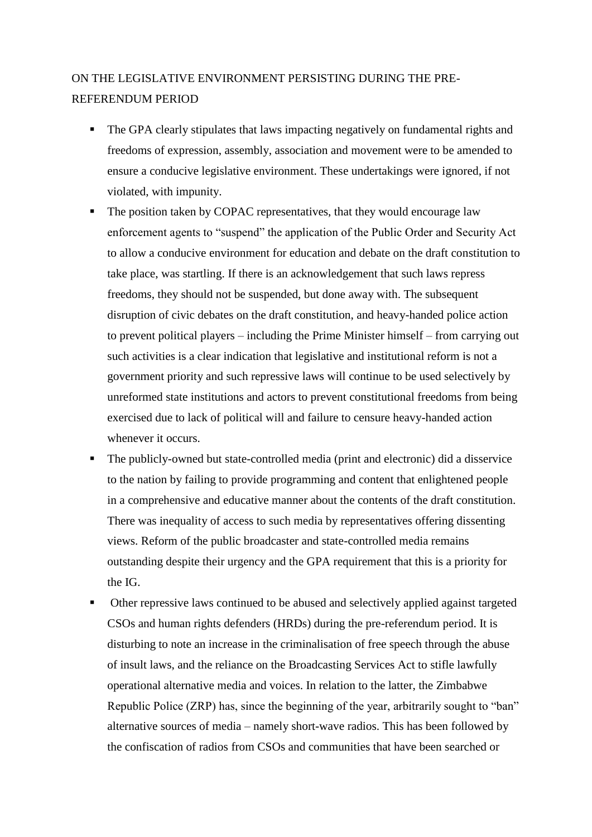## ON THE LEGISLATIVE ENVIRONMENT PERSISTING DURING THE PRE-REFERENDUM PERIOD

- The GPA clearly stipulates that laws impacting negatively on fundamental rights and freedoms of expression, assembly, association and movement were to be amended to ensure a conducive legislative environment. These undertakings were ignored, if not violated, with impunity.
- The position taken by COPAC representatives, that they would encourage law enforcement agents to "suspend" the application of the Public Order and Security Act to allow a conducive environment for education and debate on the draft constitution to take place, was startling. If there is an acknowledgement that such laws repress freedoms, they should not be suspended, but done away with. The subsequent disruption of civic debates on the draft constitution, and heavy-handed police action to prevent political players – including the Prime Minister himself – from carrying out such activities is a clear indication that legislative and institutional reform is not a government priority and such repressive laws will continue to be used selectively by unreformed state institutions and actors to prevent constitutional freedoms from being exercised due to lack of political will and failure to censure heavy-handed action whenever it occurs.
- The publicly-owned but state-controlled media (print and electronic) did a disservice to the nation by failing to provide programming and content that enlightened people in a comprehensive and educative manner about the contents of the draft constitution. There was inequality of access to such media by representatives offering dissenting views. Reform of the public broadcaster and state-controlled media remains outstanding despite their urgency and the GPA requirement that this is a priority for the IG.
- Other repressive laws continued to be abused and selectively applied against targeted CSOs and human rights defenders (HRDs) during the pre-referendum period. It is disturbing to note an increase in the criminalisation of free speech through the abuse of insult laws, and the reliance on the Broadcasting Services Act to stifle lawfully operational alternative media and voices. In relation to the latter, the Zimbabwe Republic Police (ZRP) has, since the beginning of the year, arbitrarily sought to "ban" alternative sources of media – namely short-wave radios. This has been followed by the confiscation of radios from CSOs and communities that have been searched or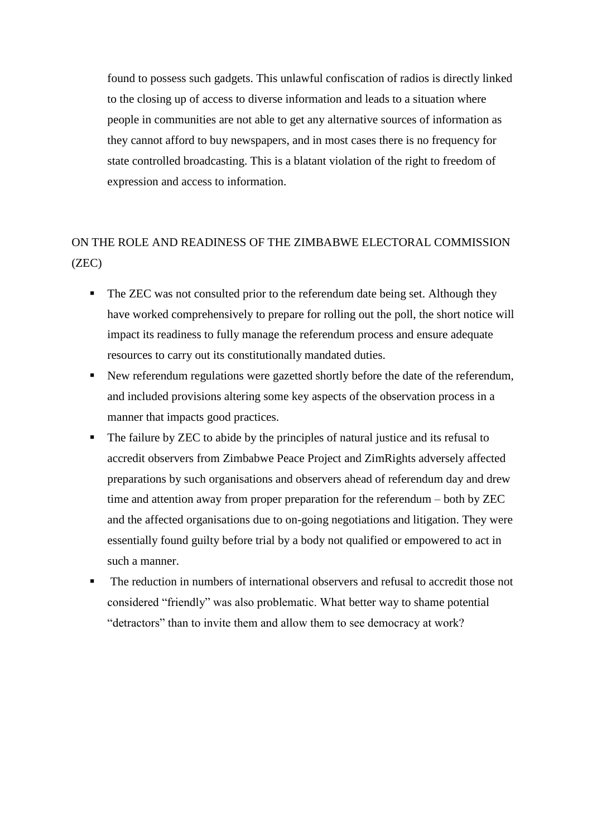found to possess such gadgets. This unlawful confiscation of radios is directly linked to the closing up of access to diverse information and leads to a situation where people in communities are not able to get any alternative sources of information as they cannot afford to buy newspapers, and in most cases there is no frequency for state controlled broadcasting. This is a blatant violation of the right to freedom of expression and access to information.

## ON THE ROLE AND READINESS OF THE ZIMBABWE ELECTORAL COMMISSION (ZEC)

- The ZEC was not consulted prior to the referendum date being set. Although they have worked comprehensively to prepare for rolling out the poll, the short notice will impact its readiness to fully manage the referendum process and ensure adequate resources to carry out its constitutionally mandated duties.
- New referendum regulations were gazetted shortly before the date of the referendum, and included provisions altering some key aspects of the observation process in a manner that impacts good practices.
- The failure by ZEC to abide by the principles of natural justice and its refusal to accredit observers from Zimbabwe Peace Project and ZimRights adversely affected preparations by such organisations and observers ahead of referendum day and drew time and attention away from proper preparation for the referendum – both by ZEC and the affected organisations due to on-going negotiations and litigation. They were essentially found guilty before trial by a body not qualified or empowered to act in such a manner.
- The reduction in numbers of international observers and refusal to accredit those not considered "friendly" was also problematic. What better way to shame potential "detractors" than to invite them and allow them to see democracy at work?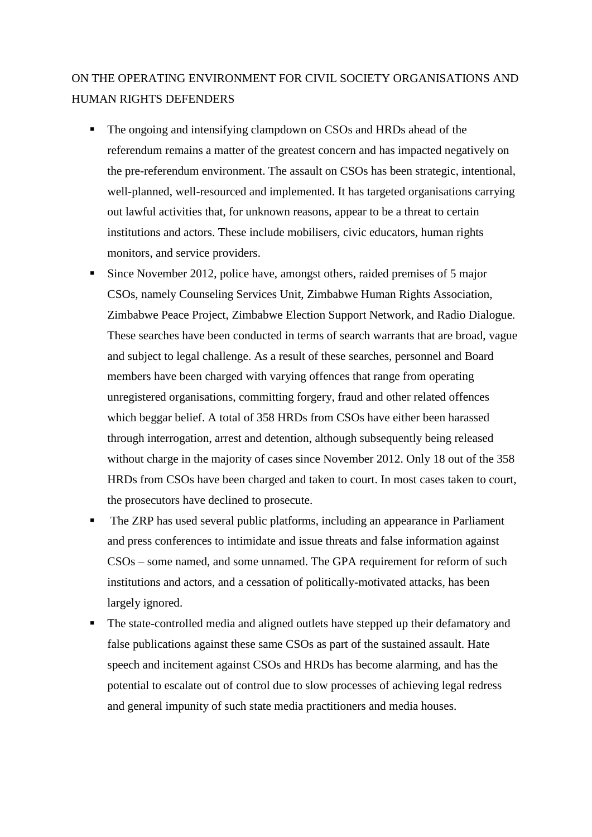## ON THE OPERATING ENVIRONMENT FOR CIVIL SOCIETY ORGANISATIONS AND HUMAN RIGHTS DEFENDERS

- The ongoing and intensifying clampdown on CSOs and HRDs ahead of the referendum remains a matter of the greatest concern and has impacted negatively on the pre-referendum environment. The assault on CSOs has been strategic, intentional, well-planned, well-resourced and implemented. It has targeted organisations carrying out lawful activities that, for unknown reasons, appear to be a threat to certain institutions and actors. These include mobilisers, civic educators, human rights monitors, and service providers.
- Since November 2012, police have, amongst others, raided premises of 5 major CSOs, namely Counseling Services Unit, Zimbabwe Human Rights Association, Zimbabwe Peace Project, Zimbabwe Election Support Network, and Radio Dialogue. These searches have been conducted in terms of search warrants that are broad, vague and subject to legal challenge. As a result of these searches, personnel and Board members have been charged with varying offences that range from operating unregistered organisations, committing forgery, fraud and other related offences which beggar belief. A total of 358 HRDs from CSOs have either been harassed through interrogation, arrest and detention, although subsequently being released without charge in the majority of cases since November 2012. Only 18 out of the 358 HRDs from CSOs have been charged and taken to court. In most cases taken to court, the prosecutors have declined to prosecute.
- The ZRP has used several public platforms, including an appearance in Parliament and press conferences to intimidate and issue threats and false information against CSOs – some named, and some unnamed. The GPA requirement for reform of such institutions and actors, and a cessation of politically-motivated attacks, has been largely ignored.
- The state-controlled media and aligned outlets have stepped up their defamatory and false publications against these same CSOs as part of the sustained assault. Hate speech and incitement against CSOs and HRDs has become alarming, and has the potential to escalate out of control due to slow processes of achieving legal redress and general impunity of such state media practitioners and media houses.